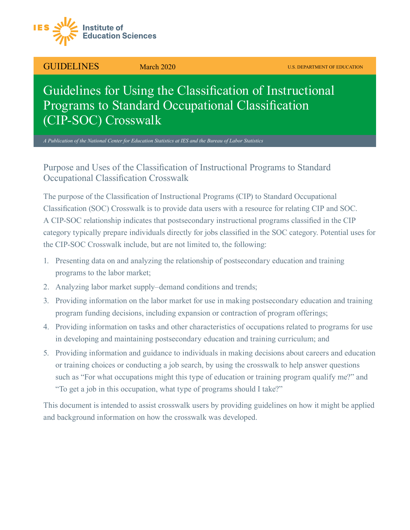

GUIDELINES March 2020 U.S. DEPARTMENT OF EDUCATION

# Guidelines for Using the Classification of Instructional Programs to Standard Occupational Classification (CIP-SOC) Crosswalk

*A Publication of the National Center for Education Statistics at IES and the Bureau of Labor Statistics*

# Purpose and Uses of the Classification of Instructional Programs to Standard Occupational Classification Crosswalk

The purpose of the Classification of Instructional Programs (CIP) to Standard Occupational Classification (SOC) Crosswalk is to provide data users with a resource for relating CIP and SOC. A CIP-SOC relationship indicates that postsecondary instructional programs classified in the CIP category typically prepare individuals directly for jobs classified in the SOC category. Potential uses for the CIP-SOC Crosswalk include, but are not limited to, the following:

- 1. Presenting data on and analyzing the relationship of postsecondary education and training programs to the labor market;
- 2. Analyzing labor market supply–demand conditions and trends;
- 3. Providing information on the labor market for use in making postsecondary education and training program funding decisions, including expansion or contraction of program offerings;
- 4. Providing information on tasks and other characteristics of occupations related to programs for use in developing and maintaining postsecondary education and training curriculum; and
- 5. Providing information and guidance to individuals in making decisions about careers and education or training choices or conducting a job search, by using the crosswalk to help answer questions such as "For what occupations might this type of education or training program qualify me?" and "To get a job in this occupation, what type of programs should I take?"

This document is intended to assist crosswalk users by providing guidelines on how it might be applied and background information on how the crosswalk was developed.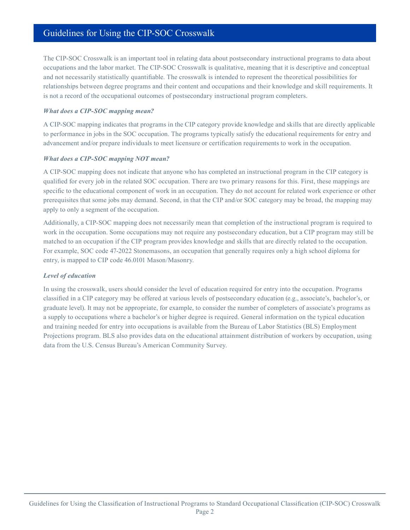The CIP-SOC Crosswalk is an important tool in relating data about postsecondary instructional programs to data about occupations and the labor market. The CIP-SOC Crosswalk is qualitative, meaning that it is descriptive and conceptual and not necessarily statistically quantifiable. The crosswalk is intended to represent the theoretical possibilities for relationships between degree programs and their content and occupations and their knowledge and skill requirements. It is not a record of the occupational outcomes of postsecondary instructional program completers.

### *What does a CIP-SOC mapping mean?*

A CIP-SOC mapping indicates that programs in the CIP category provide knowledge and skills that are directly applicable to performance in jobs in the SOC occupation. The programs typically satisfy the educational requirements for entry and advancement and/or prepare individuals to meet licensure or certification requirements to work in the occupation.

#### *What does a CIP-SOC mapping NOT mean?*

A CIP-SOC mapping does not indicate that anyone who has completed an instructional program in the CIP category is qualified for every job in the related SOC occupation. There are two primary reasons for this. First, these mappings are specific to the educational component of work in an occupation. They do not account for related work experience or other prerequisites that some jobs may demand. Second, in that the CIP and/or SOC category may be broad, the mapping may apply to only a segment of the occupation.

Additionally, a CIP-SOC mapping does not necessarily mean that completion of the instructional program is required to work in the occupation. Some occupations may not require any postsecondary education, but a CIP program may still be matched to an occupation if the CIP program provides knowledge and skills that are directly related to the occupation. For example, SOC code 47-2022 Stonemasons, an occupation that generally requires only a high school diploma for entry, is mapped to CIP code 46.0101 Mason/Masonry.

# *Level of education*

In using the crosswalk, users should consider the level of education required for entry into the occupation. Programs classified in a CIP category may be offered at various levels of postsecondary education (e.g., associate's, bachelor's, or graduate level). It may not be appropriate, for example, to consider the number of completers of associate's programs as a supply to occupations where a bachelor's or higher degree is required. General information on the typical education and training needed for entry into occupations is available from the Bureau of Labor Statistics (BLS) Employment Projections program. BLS also provides data on the educational attainment distribution of workers by occupation, using data from the U.S. Census Bureau's American Community Survey.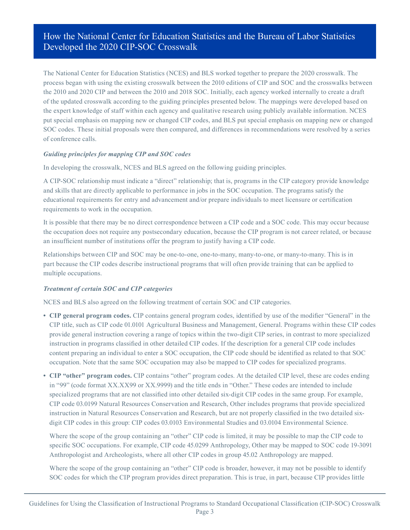# How the National Center for Education Statistics and the Bureau of Labor Statistics Developed the 2020 CIP-SOC Crosswalk

The National Center for Education Statistics (NCES) and BLS worked together to prepare the 2020 crosswalk. The process began with using the existing crosswalk between the 2010 editions of CIP and SOC and the crosswalks between the 2010 and 2020 CIP and between the 2010 and 2018 SOC. Initially, each agency worked internally to create a draft of the updated crosswalk according to the guiding principles presented below. The mappings were developed based on the expert knowledge of staff within each agency and qualitative research using publicly available information. NCES put special emphasis on mapping new or changed CIP codes, and BLS put special emphasis on mapping new or changed SOC codes. These initial proposals were then compared, and differences in recommendations were resolved by a series of conference calls.

# *Guiding principles for mapping CIP and SOC codes*

In developing the crosswalk, NCES and BLS agreed on the following guiding principles.

A CIP-SOC relationship must indicate a "direct" relationship; that is, programs in the CIP category provide knowledge and skills that are directly applicable to performance in jobs in the SOC occupation. The programs satisfy the educational requirements for entry and advancement and/or prepare individuals to meet licensure or certification requirements to work in the occupation.

It is possible that there may be no direct correspondence between a CIP code and a SOC code. This may occur because the occupation does not require any postsecondary education, because the CIP program is not career related, or because an insufficient number of institutions offer the program to justify having a CIP code.

Relationships between CIP and SOC may be one-to-one, one-to-many, many-to-one, or many-to-many. This is in part because the CIP codes describe instructional programs that will often provide training that can be applied to multiple occupations.

# *Treatment of certain SOC and CIP categories*

NCES and BLS also agreed on the following treatment of certain SOC and CIP categories.

- **CIP general program codes.** CIP contains general program codes, identified by use of the modifier "General" in the CIP title, such as CIP code 01.0101 Agricultural Business and Management, General. Programs within these CIP codes provide general instruction covering a range of topics within the two-digit CIP series, in contrast to more specialized instruction in programs classified in other detailed CIP codes. If the description for a general CIP code includes content preparing an individual to enter a SOC occupation, the CIP code should be identified as related to that SOC occupation. Note that the same SOC occupation may also be mapped to CIP codes for specialized programs.
- **CIP "other" program codes.** CIP contains "other" program codes. At the detailed CIP level, these are codes ending in "99" (code format XX.XX99 or XX.9999) and the title ends in "Other." These codes are intended to include specialized programs that are not classified into other detailed six-digit CIP codes in the same group. For example, CIP code 03.0199 Natural Resources Conservation and Research, Other includes programs that provide specialized instruction in Natural Resources Conservation and Research, but are not properly classified in the two detailed sixdigit CIP codes in this group: CIP codes 03.0103 Environmental Studies and 03.0104 Environmental Science.

Where the scope of the group containing an "other" CIP code is limited, it may be possible to map the CIP code to specific SOC occupations. For example, CIP code 45.0299 Anthropology, Other may be mapped to SOC code 19-3091 Anthropologist and Archeologists, where all other CIP codes in group 45.02 Anthropology are mapped.

Where the scope of the group containing an "other" CIP code is broader, however, it may not be possible to identify SOC codes for which the CIP program provides direct preparation. This is true, in part, because CIP provides little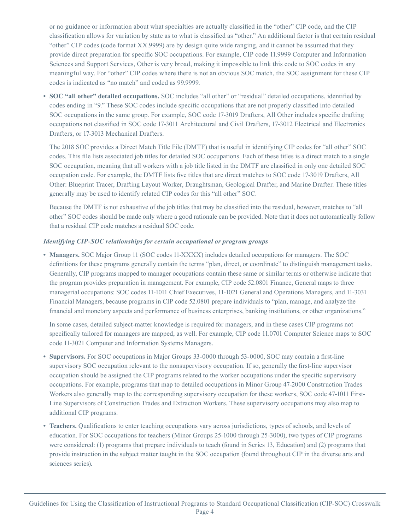or no guidance or information about what specialties are actually classified in the "other" CIP code, and the CIP classification allows for variation by state as to what is classified as "other." An additional factor is that certain residual "other" CIP codes (code format XX.9999) are by design quite wide ranging, and it cannot be assumed that they provide direct preparation for specific SOC occupations. For example, CIP code 11.9999 Computer and Information Sciences and Support Services, Other is very broad, making it impossible to link this code to SOC codes in any meaningful way. For "other" CIP codes where there is not an obvious SOC match, the SOC assignment for these CIP codes is indicated as "no match" and coded as 99.9999.

**• SOC "all other" detailed occupations.** SOC includes "all other" or "residual" detailed occupations, identified by codes ending in "9." These SOC codes include specific occupations that are not properly classified into detailed SOC occupations in the same group. For example, SOC code 17-3019 Drafters, All Other includes specific drafting occupations not classified in SOC code 17-3011 Architectural and Civil Drafters, 17-3012 Electrical and Electronics Drafters, or 17-3013 Mechanical Drafters.

The 2018 SOC provides a Direct Match Title File (DMTF) that is useful in identifying CIP codes for "all other" SOC codes. This file lists associated job titles for detailed SOC occupations. Each of these titles is a direct match to a single SOC occupation, meaning that all workers with a job title listed in the DMTF are classified in only one detailed SOC occupation code. For example, the DMTF lists five titles that are direct matches to SOC code 17-3019 Drafters, All Other: Blueprint Tracer, Drafting Layout Worker, Draughtsman, Geological Drafter, and Marine Drafter. These titles generally may be used to identify related CIP codes for this "all other" SOC.

Because the DMTF is not exhaustive of the job titles that may be classified into the residual, however, matches to "all other" SOC codes should be made only where a good rationale can be provided. Note that it does not automatically follow that a residual CIP code matches a residual SOC code.

### *Identifying CIP-SOC relationships for certain occupational or program groups*

**• Managers.** SOC Major Group 11 (SOC codes 11-XXXX) includes detailed occupations for managers. The SOC definitions for these programs generally contain the terms "plan, direct, or coordinate" to distinguish management tasks. Generally, CIP programs mapped to manager occupations contain these same or similar terms or otherwise indicate that the program provides preparation in management. For example, CIP code 52.0801 Finance, General maps to three managerial occupations: SOC codes 11-1011 Chief Executives, 11-1021 General and Operations Managers, and 11-3031 Financial Managers, because programs in CIP code 52.0801 prepare individuals to "plan, manage, and analyze the financial and monetary aspects and performance of business enterprises, banking institutions, or other organizations."

In some cases, detailed subject-matter knowledge is required for managers, and in these cases CIP programs not specifically tailored for managers are mapped, as well. For example, CIP code 11.0701 Computer Science maps to SOC code 11-3021 Computer and Information Systems Managers.

- **Supervisors.** For SOC occupations in Major Groups 33-0000 through 53-0000, SOC may contain a first-line supervisory SOC occupation relevant to the nonsupervisory occupation. If so, generally the first-line supervisor occupation should be assigned the CIP programs related to the worker occupations under the specific supervisory occupations. For example, programs that map to detailed occupations in Minor Group 47-2000 Construction Trades Workers also generally map to the corresponding supervisory occupation for these workers, SOC code 47-1011 First-Line Supervisors of Construction Trades and Extraction Workers. These supervisory occupations may also map to additional CIP programs.
- **Teachers.** Qualifications to enter teaching occupations vary across jurisdictions, types of schools, and levels of education. For SOC occupations for teachers (Minor Groups 25-1000 through 25-3000), two types of CIP programs were considered: (1) programs that prepare individuals to teach (found in Series 13, Education) and (2) programs that provide instruction in the subject matter taught in the SOC occupation (found throughout CIP in the diverse arts and sciences series).